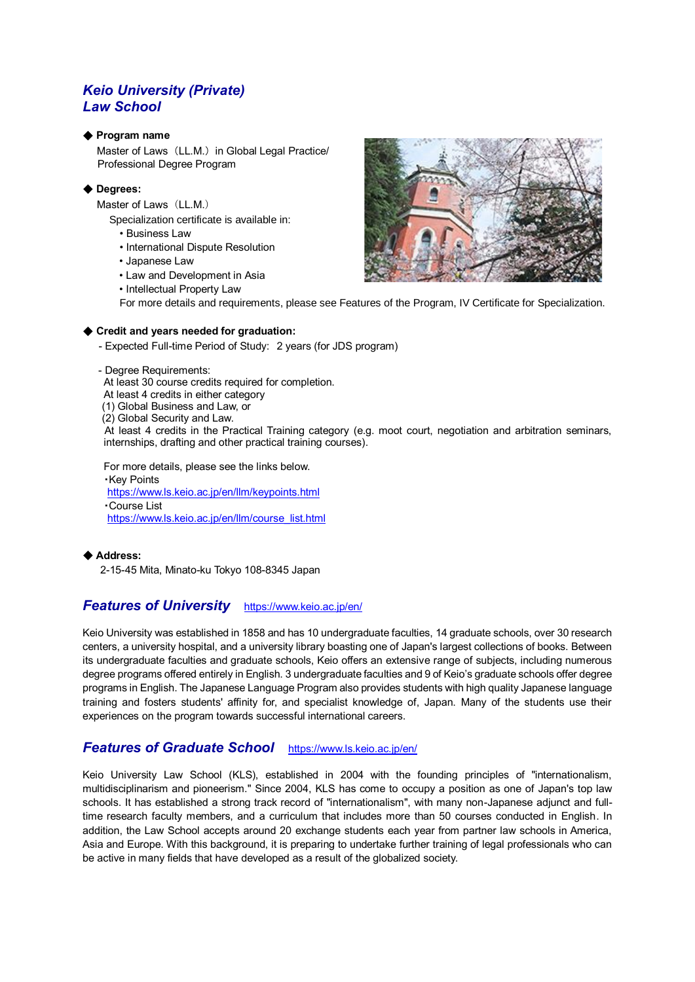# *Keio University (Private) Law School*

### ◆ **Program name**

 Master of Laws (LL.M.) in Global Legal Practice/ Professional Degree Program

## ◆ **Degrees:**

Master of Laws (LL.M.)

- Specialization certificate is available in:
- Business Law
- International Dispute Resolution
- Japanese Law
- Law and Development in Asia
- Intellectual Property Law



### ◆ Credit and vears needed for graduation:

- Expected Full-time Period of Study: 2 years (for JDS program)
- Degree Requirements:
- At least 30 course credits required for completion.
- At least 4 credits in either category
- (1) Global Business and Law, or
- (2) Global Security and Law.

 At least 4 credits in the Practical Training category (e.g. moot court, negotiation and arbitration seminars, internships, drafting and other practical training courses).

For more details, please see the links below. ・Key Points <https://www.ls.keio.ac.jp/en/llm/keypoints.html> ・Course List [https://www.ls.keio.ac.jp/en/llm/course\\_list.html](https://www.ls.keio.ac.jp/en/llm/course_list.html)

◆ **Address:**

2-15-45 Mita, Minato-ku Tokyo 108-8345 Japan

# *Features of University* <https://www.keio.ac.jp/en/>

Keio University was established in 1858 and has 10 undergraduate faculties, 14 graduate schools, over 30 research centers, a university hospital, and a university library boasting one of Japan's largest collections of books. Between its undergraduate faculties and graduate schools, Keio offers an extensive range of subjects, including numerous degree programs offered entirely in English. 3 undergraduate faculties and 9 of Keio's graduate schools offer degree programs in English. The Japanese Language Program also provides students with high quality Japanese language training and fosters students' affinity for, and specialist knowledge of, Japan. Many of the students use their experiences on the program towards successful international careers.

# *Features of Graduate School* <https://www.ls.keio.ac.jp/en/>

Keio University Law School (KLS), established in 2004 with the founding principles of "internationalism, multidisciplinarism and pioneerism." Since 2004, KLS has come to occupy a position as one of Japan's top law schools. It has established a strong track record of "internationalism", with many non-Japanese adjunct and fulltime research faculty members, and a curriculum that includes more than 50 courses conducted in English. In addition, the Law School accepts around 20 exchange students each year from partner law schools in America, Asia and Europe. With this background, it is preparing to undertake further training of legal professionals who can be active in many fields that have developed as a result of the globalized society.

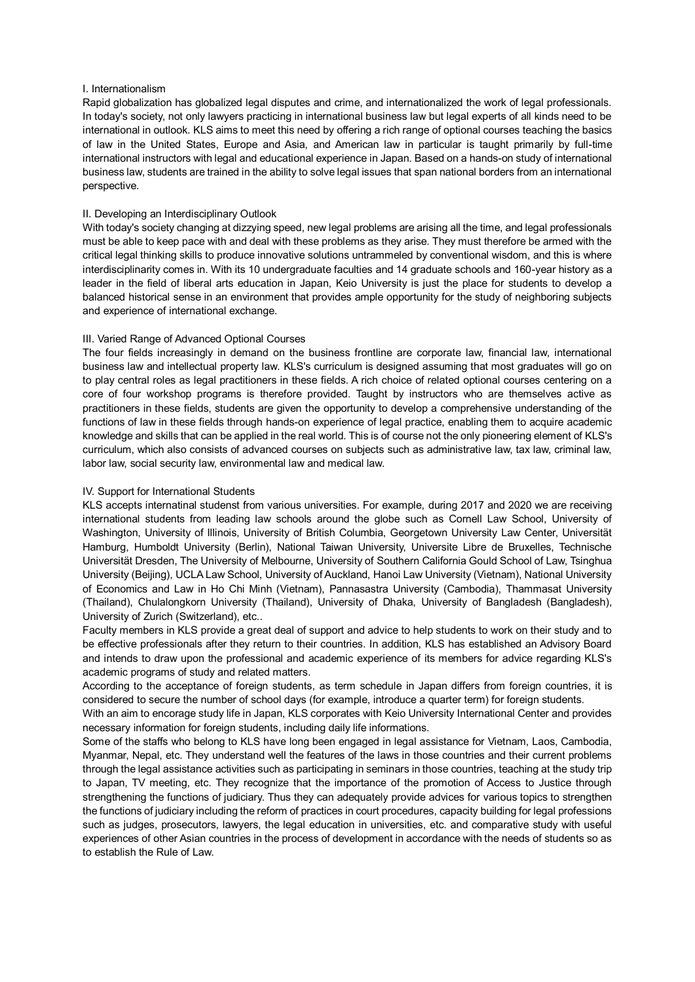#### I. Internationalism

Rapid globalization has globalized legal disputes and crime, and internationalized the work of legal professionals. In today's society, not only lawyers practicing in international business law but legal experts of all kinds need to be international in outlook. KLS aims to meet this need by offering a rich range of optional courses teaching the basics of law in the United States, Europe and Asia, and American law in particular is taught primarily by full-time international instructors with legal and educational experience in Japan. Based on a hands-on study of international business law, students are trained in the ability to solve legal issues that span national borders from an international perspective.

### II. Developing an Interdisciplinary Outlook

With today's society changing at dizzying speed, new legal problems are arising all the time, and legal professionals must be able to keep pace with and deal with these problems as they arise. They must therefore be armed with the critical legal thinking skills to produce innovative solutions untrammeled by conventional wisdom, and this is where interdisciplinarity comes in. With its 10 undergraduate faculties and 14 graduate schools and 160-year history as a leader in the field of liberal arts education in Japan, Keio University is just the place for students to develop a balanced historical sense in an environment that provides ample opportunity for the study of neighboring subjects and experience of international exchange.

### III. Varied Range of Advanced Optional Courses

The four fields increasingly in demand on the business frontline are corporate law, financial law, international business law and intellectual property law. KLS's curriculum is designed assuming that most graduates will go on to play central roles as legal practitioners in these fields. A rich choice of related optional courses centering on a core of four workshop programs is therefore provided. Taught by instructors who are themselves active as practitioners in these fields, students are given the opportunity to develop a comprehensive understanding of the functions of law in these fields through hands-on experience of legal practice, enabling them to acquire academic knowledge and skills that can be applied in the real world. This is of course not the only pioneering element of KLS's curriculum, which also consists of advanced courses on subjects such as administrative law, tax law, criminal law, labor law, social security law, environmental law and medical law.

#### IV. Support for International Students

KLS accepts internatinal studenst from various universities. For example, during 2017 and 2020 we are receiving international students from leading law schools around the globe such as Cornell Law School, University of Washington, University of Illinois, University of British Columbia, Georgetown University Law Center, Universität Hamburg, Humboldt University (Berlin), National Taiwan University, Universite Libre de Bruxelles, Technische Universität Dresden, The University of Melbourne, University of Southern California Gould School of Law, Tsinghua University (Beijing), UCLA Law School, University of Auckland, Hanoi Law University (Vietnam), National University of Economics and Law in Ho Chi Minh (Vietnam), Pannasastra University (Cambodia), Thammasat University (Thailand), Chulalongkorn University (Thailand), University of Dhaka, University of Bangladesh (Bangladesh), University of Zurich (Switzerland), etc..

Faculty members in KLS provide a great deal of support and advice to help students to work on their study and to be effective professionals after they return to their countries. In addition, KLS has established an Advisory Board and intends to draw upon the professional and academic experience of its members for advice regarding KLS's academic programs of study and related matters.

According to the acceptance of foreign students, as term schedule in Japan differs from foreign countries, it is considered to secure the number of school days (for example, introduce a quarter term) for foreign students.

With an aim to encorage study life in Japan, KLS corporates with Keio University International Center and provides necessary information for foreign students, including daily life informations.

Some of the staffs who belong to KLS have long been engaged in legal assistance for Vietnam, Laos, Cambodia, Myanmar, Nepal, etc. They understand well the features of the laws in those countries and their current problems through the legal assistance activities such as participating in seminars in those countries, teaching at the study trip to Japan, TV meeting, etc. They recognize that the importance of the promotion of Access to Justice through strengthening the functions of judiciary. Thus they can adequately provide advices for various topics to strengthen the functions of judiciary including the reform of practices in court procedures, capacity building for legal professions such as judges, prosecutors, lawyers, the legal education in universities, etc. and comparative study with useful experiences of other Asian countries in the process of development in accordance with the needs of students so as to establish the Rule of Law.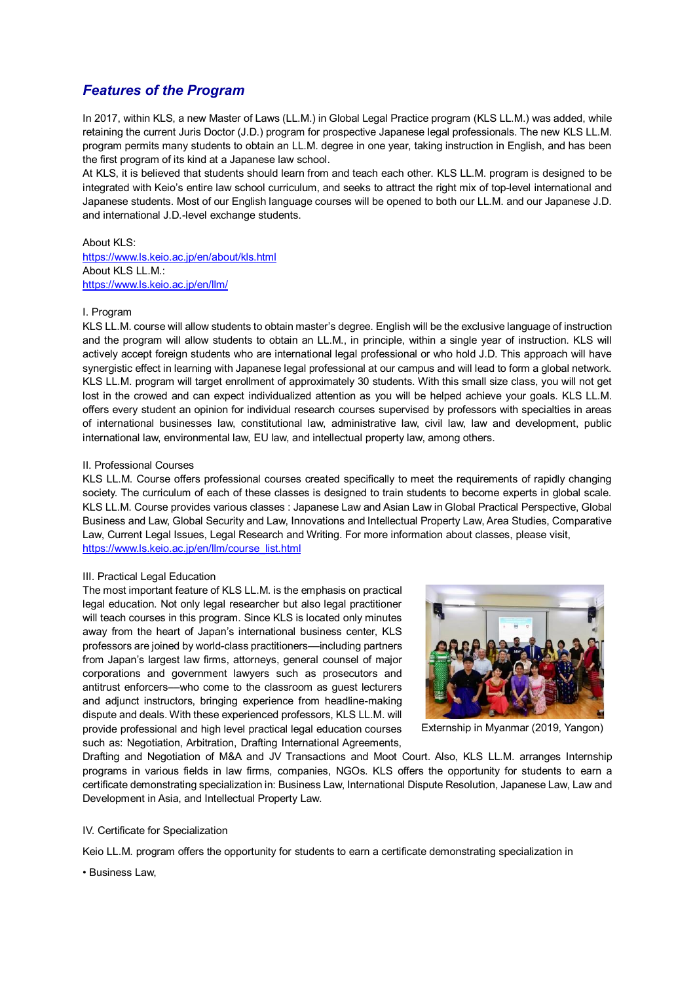# *Features of the Program*

In 2017, within KLS, a new Master of Laws (LL.M.) in Global Legal Practice program (KLS LL.M.) was added, while retaining the current Juris Doctor (J.D.) program for prospective Japanese legal professionals. The new KLS LL.M. program permits many students to obtain an LL.M. degree in one year, taking instruction in English, and has been the first program of its kind at a Japanese law school.

At KLS, it is believed that students should learn from and teach each other. KLS LL.M. program is designed to be integrated with Keio's entire law school curriculum, and seeks to attract the right mix of top-level international and Japanese students. Most of our English language courses will be opened to both our LL.M. and our Japanese J.D. and international J.D.-level exchange students.

### About KLS:

<https://www.ls.keio.ac.jp/en/about/kls.html> About KLS LL.M.: <https://www.ls.keio.ac.jp/en/llm/>

### I. Program

KLS LL.M. course will allow students to obtain master's degree. English will be the exclusive language of instruction and the program will allow students to obtain an LL.M., in principle, within a single year of instruction. KLS will actively accept foreign students who are international legal professional or who hold J.D. This approach will have synergistic effect in learning with Japanese legal professional at our campus and will lead to form a global network. KLS LL.M. program will target enrollment of approximately 30 students. With this small size class, you will not get lost in the crowed and can expect individualized attention as you will be helped achieve your goals. KLS LL.M. offers every student an opinion for individual research courses supervised by professors with specialties in areas of international businesses law, constitutional law, administrative law, civil law, law and development, public international law, environmental law, EU law, and intellectual property law, among others.

### II. Professional Courses

KLS LL.M. Course offers professional courses created specifically to meet the requirements of rapidly changing society. The curriculum of each of these classes is designed to train students to become experts in global scale. KLS LL.M. Course provides various classes : Japanese Law and Asian Law in Global Practical Perspective, Global Business and Law, Global Security and Law, Innovations and Intellectual Property Law, Area Studies, Comparative Law, Current Legal Issues, Legal Research and Writing. For more information about classes, please visit, [https://www.ls.keio.ac.jp/en/llm/course\\_list.html](https://www.ls.keio.ac.jp/en/llm/course_list.html)

### III. Practical Legal Education

The most important feature of KLS LL.M. is the emphasis on practical legal education. Not only legal researcher but also legal practitioner will teach courses in this program. Since KLS is located only minutes away from the heart of Japan's international business center, KLS professors are joined by world-class practitioners––including partners from Japan's largest law firms, attorneys, general counsel of major corporations and government lawyers such as prosecutors and antitrust enforcers––who come to the classroom as guest lecturers and adjunct instructors, bringing experience from headline-making dispute and deals. With these experienced professors, KLS LL.M. will provide professional and high level practical legal education courses such as: Negotiation, Arbitration, Drafting International Agreements,



Externship in Myanmar (2019, Yangon)

Drafting and Negotiation of M&A and JV Transactions and Moot Court. Also, KLS LL.M. arranges Internship programs in various fields in law firms, companies, NGOs. KLS offers the opportunity for students to earn a certificate demonstrating specialization in: Business Law, International Dispute Resolution, Japanese Law, Law and Development in Asia, and Intellectual Property Law.

#### IV. Certificate for Specialization

Keio LL.M. program offers the opportunity for students to earn a certificate demonstrating specialization in

• Business Law,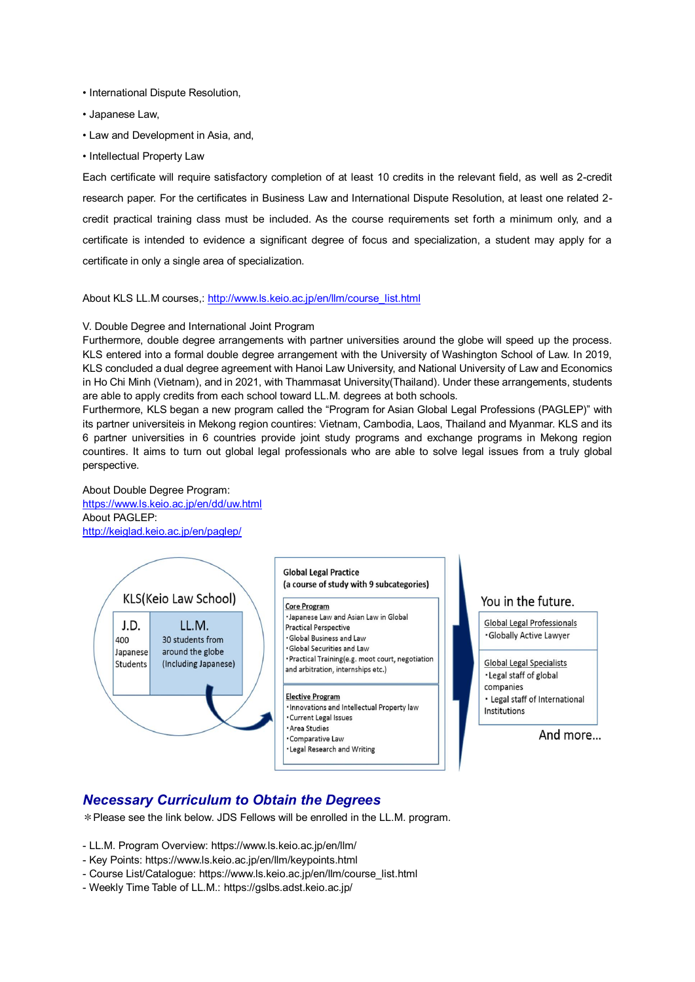- International Dispute Resolution,
- Japanese Law,
- Law and Development in Asia, and,
- Intellectual Property Law

Each certificate will require satisfactory completion of at least 10 credits in the relevant field, as well as 2-credit research paper. For the certificates in Business Law and International Dispute Resolution, at least one related 2 credit practical training class must be included. As the course requirements set forth a minimum only, and a certificate is intended to evidence a significant degree of focus and specialization, a student may apply for a certificate in only a single area of specialization.

#### About KLS LL.M courses,: [http://www.ls.keio.ac.jp/en/llm/course\\_list.html](http://www.ls.keio.ac.jp/en/llm/course_list.html)

#### V. Double Degree and International Joint Program

Furthermore, double degree arrangements with partner universities around the globe will speed up the process. KLS entered into a formal double degree arrangement with the University of Washington School of Law. In 2019, KLS concluded a dual degree agreement with Hanoi Law University, and National University of Law and Economics in Ho Chi Minh (Vietnam), and in 2021, with Thammasat University(Thailand). Under these arrangements, students are able to apply credits from each school toward LL.M. degrees at both schools.

Furthermore, KLS began a new program called the "Program for Asian Global Legal Professions (PAGLEP)" with its partner universiteis in Mekong region countires: Vietnam, Cambodia, Laos, Thailand and Myanmar. KLS and its 6 partner universities in 6 countries provide joint study programs and exchange programs in Mekong region countires. It aims to turn out global legal professionals who are able to solve legal issues from a truly global perspective.

About Double Degree Program: <https://www.ls.keio.ac.jp/en/dd/uw.html> About PAGLEP: <http://keiglad.keio.ac.jp/en/paglep/>



# You in the future.

**Global Legal Professionals** · Globally Active Lawyer

**Global Legal Specialists** · Legal staff of global companies · Legal staff of International Institutions

And more...

# *Necessary Curriculum to Obtain the Degrees*

\*Please see the link below. JDS Fellows will be enrolled in the LL.M. program.

- LL.M. Program Overview: https://www.ls.keio.ac.jp/en/llm/

- Key Points: https://www.ls.keio.ac.jp/en/llm/keypoints.html
- Course List/Catalogue: https://www.ls.keio.ac.jp/en/llm/course\_list.html
- Weekly Time Table of LL.M.: https://gslbs.adst.keio.ac.jp/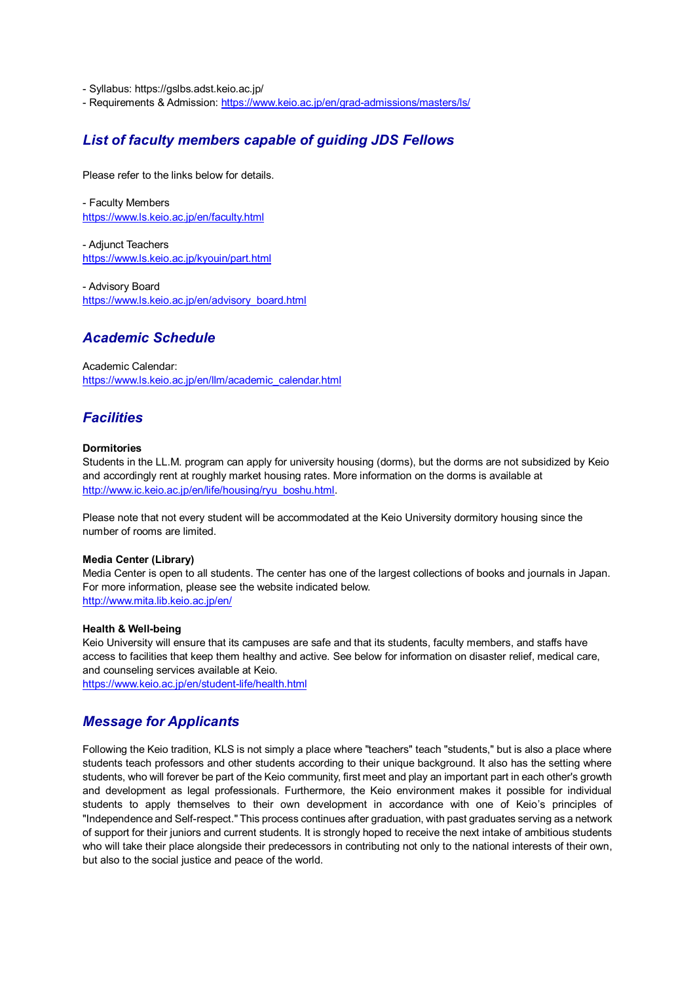- Syllabus: https://gslbs.adst.keio.ac.jp/

- Requirements & Admission: <https://www.keio.ac.jp/en/grad-admissions/masters/ls/>

# *List of faculty members capable of guiding JDS Fellows*

Please refer to the links below for details.

- Faculty Members <https://www.ls.keio.ac.jp/en/faculty.html>

- [Adjunct Teachers](http://www.ls.keio.ac.jp/kyouin/part.html) <https://www.ls.keio.ac.jp/kyouin/part.html>

- Advisory Board [https://www.ls.keio.ac.jp/en/advisory\\_board.html](https://www.ls.keio.ac.jp/en/advisory_board.html)

# *Academic Schedule*

Academic Calendar: [https://www.ls.keio.ac.jp/en/llm/academic\\_calendar.html](https://www.ls.keio.ac.jp/en/llm/academic_calendar.html)

# *Facilities*

### **Dormitories**

Students in the LL.M. program can apply for university housing (dorms), but the dorms are not subsidized by Keio and accordingly rent at roughly market housing rates. More information on the dorms is available at [http://www.ic.keio.ac.jp/en/life/housing/ryu\\_boshu.html.](http://www.ic.keio.ac.jp/en/life/housing/ryu_boshu.html)

Please note that not every student will be accommodated at the Keio University dormitory housing since the number of rooms are limited.

### **Media Center (Library)**

Media Center is open to all students. The center has one of the largest collections of books and journals in Japan. For more information, please see the website indicated below. <http://www.mita.lib.keio.ac.jp/en/>

#### **Health & Well-being**

Keio University will ensure that its campuses are safe and that its students, faculty members, and staffs have access to facilities that keep them healthy and active. See below for information on disaster relief, medical care, and counseling services available at Keio.

<https://www.keio.ac.jp/en/student-life/health.html>

# *Message for Applicants*

Following the Keio tradition, KLS is not simply a place where "teachers" teach "students," but is also a place where students teach professors and other students according to their unique background. It also has the setting where students, who will forever be part of the Keio community, first meet and play an important part in each other's growth and development as legal professionals. Furthermore, the Keio environment makes it possible for individual students to apply themselves to their own development in accordance with one of Keio's principles of "Independence and Self-respect." This process continues after graduation, with past graduates serving as a network of support for their juniors and current students. It is strongly hoped to receive the next intake of ambitious students who will take their place alongside their predecessors in contributing not only to the national interests of their own, but also to the social justice and peace of the world.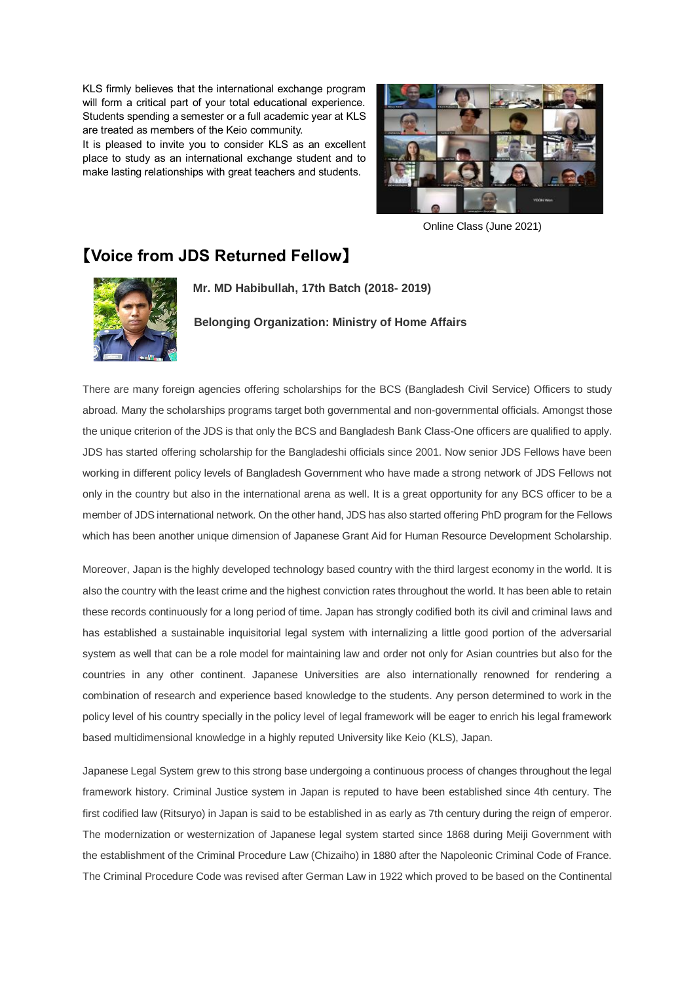KLS firmly believes that the international exchange program will form a critical part of your total educational experience. Students spending a semester or a full academic year at KLS are treated as members of the Keio community.

It is pleased to invite you to consider KLS as an excellent place to study as an international exchange student and to make lasting relationships with great teachers and students.



Online Class (June 2021)

# 【**Voice from JDS Returned Fellow**】



**Mr. MD Habibullah, 17th Batch (2018- 2019)**

**Belonging Organization: Ministry of Home Affairs**

There are many foreign agencies offering scholarships for the BCS (Bangladesh Civil Service) Officers to study abroad. Many the scholarships programs target both governmental and non-governmental officials. Amongst those the unique criterion of the JDS is that only the BCS and Bangladesh Bank Class-One officers are qualified to apply. JDS has started offering scholarship for the Bangladeshi officials since 2001. Now senior JDS Fellows have been working in different policy levels of Bangladesh Government who have made a strong network of JDS Fellows not only in the country but also in the international arena as well. It is a great opportunity for any BCS officer to be a member of JDS international network. On the other hand, JDS has also started offering PhD program for the Fellows which has been another unique dimension of Japanese Grant Aid for Human Resource Development Scholarship.

Moreover, Japan is the highly developed technology based country with the third largest economy in the world. It is also the country with the least crime and the highest conviction rates throughout the world. It has been able to retain these records continuously for a long period of time. Japan has strongly codified both its civil and criminal laws and has established a sustainable inquisitorial legal system with internalizing a little good portion of the adversarial system as well that can be a role model for maintaining law and order not only for Asian countries but also for the countries in any other continent. Japanese Universities are also internationally renowned for rendering a combination of research and experience based knowledge to the students. Any person determined to work in the policy level of his country specially in the policy level of legal framework will be eager to enrich his legal framework based multidimensional knowledge in a highly reputed University like Keio (KLS), Japan.

Japanese Legal System grew to this strong base undergoing a continuous process of changes throughout the legal framework history. Criminal Justice system in Japan is reputed to have been established since 4th century. The first codified law (Ritsuryo) in Japan is said to be established in as early as 7th century during the reign of emperor. The modernization or westernization of Japanese legal system started since 1868 during Meiji Government with the establishment of the Criminal Procedure Law (Chizaiho) in 1880 after the Napoleonic Criminal Code of France. The Criminal Procedure Code was revised after German Law in 1922 which proved to be based on the Continental